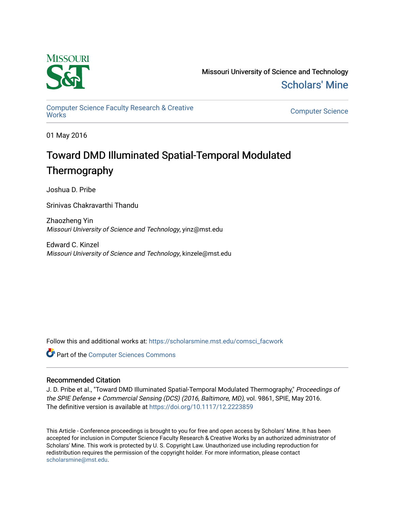

Missouri University of Science and Technology [Scholars' Mine](https://scholarsmine.mst.edu/) 

[Computer Science Faculty Research & Creative](https://scholarsmine.mst.edu/comsci_facwork) 

**Computer Science** 

01 May 2016

# Toward DMD Illuminated Spatial-Temporal Modulated **Thermography**

Joshua D. Pribe

Srinivas Chakravarthi Thandu

Zhaozheng Yin Missouri University of Science and Technology, yinz@mst.edu

Edward C. Kinzel Missouri University of Science and Technology, kinzele@mst.edu

Follow this and additional works at: [https://scholarsmine.mst.edu/comsci\\_facwork](https://scholarsmine.mst.edu/comsci_facwork?utm_source=scholarsmine.mst.edu%2Fcomsci_facwork%2F484&utm_medium=PDF&utm_campaign=PDFCoverPages) 

**Part of the [Computer Sciences Commons](http://network.bepress.com/hgg/discipline/142?utm_source=scholarsmine.mst.edu%2Fcomsci_facwork%2F484&utm_medium=PDF&utm_campaign=PDFCoverPages)** 

## Recommended Citation

J. D. Pribe et al., "Toward DMD Illuminated Spatial-Temporal Modulated Thermography," Proceedings of the SPIE Defense + Commercial Sensing (DCS) (2016, Baltimore, MD), vol. 9861, SPIE, May 2016. The definitive version is available at <https://doi.org/10.1117/12.2223859>

This Article - Conference proceedings is brought to you for free and open access by Scholars' Mine. It has been accepted for inclusion in Computer Science Faculty Research & Creative Works by an authorized administrator of Scholars' Mine. This work is protected by U. S. Copyright Law. Unauthorized use including reproduction for redistribution requires the permission of the copyright holder. For more information, please contact [scholarsmine@mst.edu.](mailto:scholarsmine@mst.edu)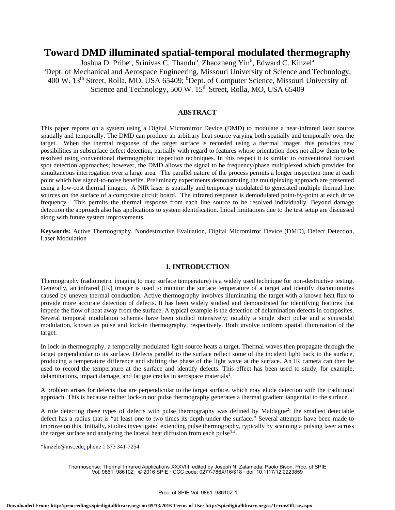# **Toward DMD illuminated spatial-temporal modulated thermography**

Joshua D. Pribe<sup>a</sup>, Srinivas C. Thandu<sup>b</sup>, Zhaozheng Yin<sup>b</sup>, Edward C. Kinzel<sup>a</sup> <sup>a</sup>Dept. of Mechanical and Aerospace Engineering, Missouri University of Science and Technology, 400 W. 13<sup>th</sup> Street, Rolla, MO, USA 65409; <sup>b</sup>Dept. of Computer Science, Missouri University of Science and Technology, 500 W. 15<sup>th</sup> Street, Rolla, MO, USA 65409

#### **ABSTRACT**

This paper reports on a system using a Digital Micromirror Device (DMD) to modulate a near-infrared laser source spatially and temporally. The DMD can produce an arbitrary heat source varying both spatially and temporally over the target. When the thermal response of the target surface is recorded using a thermal imager, this provides new possibilities in subsurface defect detection, partially with regard to features whose orientation does not allow them to be resolved using conventional thermographic inspection techniques. In this respect it is similar to conventional focused spot detection approaches; however, the DMD allows the signal to be frequency/phase multiplexed which provides for simultaneous interrogation over a large area. The parallel nature of the process permits a longer inspection time at each point which has signal-to-noise benefits. Preliminary experiments demonstrating the multiplexing approach are presented using a low-cost thermal imager. A NIR laser is spatially and temporary modulated to generated multiple thermal line sources on the surface of a composite circuit board. The infrared response is demodulated point-by-point at each drive frequency. This permits the thermal response from each line source to be resolved individually. Beyond damage detection the approach also has applications to system identification. Initial limitations due to the test setup are discussed along with future system improvements.

**Keywords:** Active Thermography, Nondestructive Evaluation, Digital Micromirror Device (DMD), Defect Detection, Laser Modulation

#### **1. INTRODUCTION**

Thermography (radiometric imaging to map surface temperature) is a widely used technique for non-destructive testing. Generally, an infrared (IR) imager is used to monitor the surface temperature of a target and identify discontinuities caused by uneven thermal conduction. Active thermography involves illuminating the target with a known heat flux to provide more accurate detection of defects. It has been widely studied and demonstrated for identifying features that impede the flow of heat away from the surface. A typical example is the detection of delamination defects in composites. Several temporal modulation schemes have been studied intensively; notably a single short pulse and a sinusoidal modulation, known as pulse and lock-in thermography, respectively. Both involve uniform spatial illumination of the target.

In lock-in thermography, a temporally modulated light source heats a target. Thermal waves then propagate through the target perpendicular to its surface. Defects parallel to the surface reflect some of the incident light back to the surface, producing a temperature difference and shifting the phase of the light wave at the surface. An IR camera can then be used to record the temperature at the surface and identify defects. This effect has been used to study, for example, delaminations, impact damage, and fatigue cracks in aerospace materials<sup>1</sup>.

A problem arises for defects that are perpendicular to the target surface, which may elude detection with the traditional approach. This is because neither lock-in nor pulse thermography generates a thermal gradient tangential to the surface.

A rule detecting these types of defects with pulse thermography was defined by Maldague<sup>2</sup>: the smallest detectable defect has a radius that is "at least one to two times its depth under the surface." Several attempts have been made to improve on this. Initially, studies investigated extending pulse thermography, typically by scanning a pulsing laser across the target surface and analyzing the lateral heat diffusion from each pulse $3-4$ .

\*kinzele@mst.edu; phone 1 573 341-7254

Thermosense: Thermal Infrared Applications XXXVIII, edited by Joseph N. Zalameda, Paolo Bison, Proc. of SPIE Vol. 9861, 98610Z · © 2016 SPIE · CCC code: 0277-786X/16/\$18 · doi: 10.1117/12.2223859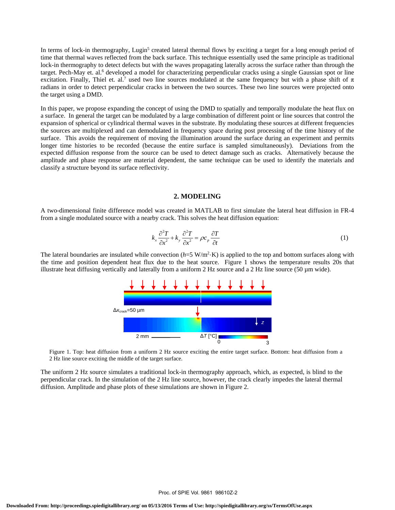In terms of lock-in thermography, Lugin<sup>5</sup> created lateral thermal flows by exciting a target for a long enough period of time that thermal waves reflected from the back surface. This technique essentially used the same principle as traditional lock-in thermography to detect defects but with the waves propagating laterally across the surface rather than through the target. Pech-May et. al.<sup>6</sup> developed a model for characterizing perpendicular cracks using a single Gaussian spot or line excitation. Finally, Thiel et. al.<sup>7</sup> used two line sources modulated at the same frequency but with a phase shift of  $\pi$ radians in order to detect perpendicular cracks in between the two sources. These two line sources were projected onto the target using a DMD.

In this paper, we propose expanding the concept of using the DMD to spatially and temporally modulate the heat flux on a surface. In general the target can be modulated by a large combination of different point or line sources that control the expansion of spherical or cylindrical thermal waves in the substrate. By modulating these sources at different frequencies the sources are multiplexed and can demodulated in frequency space during post processing of the time history of the surface. This avoids the requirement of moving the illumination around the surface during an experiment and permits longer time histories to be recorded (because the entire surface is sampled simultaneously). Deviations from the expected diffusion response from the source can be used to detect damage such as cracks. Alternatively because the amplitude and phase response are material dependent, the same technique can be used to identify the materials and classify a structure beyond its surface reflectivity.

#### **2. MODELING**

A two-dimensional finite difference model was created in MATLAB to first simulate the lateral heat diffusion in FR-4 from a single modulated source with a nearby crack. This solves the heat diffusion equation:

$$
k_x \frac{\partial^2 T}{\partial x^2} + k_y \frac{\partial^2 T}{\partial x^2} = \rho c_p \frac{\partial T}{\partial t}
$$
 (1)

The lateral boundaries are insulated while convection  $(h=5 \text{ W/m}^2 \cdot \text{K})$  is applied to the top and bottom surfaces along with the time and position dependent heat flux due to the heat source. Figure 1 shows the temperature results 20s that illustrate heat diffusing vertically and laterally from a uniform 2 Hz source and a 2 Hz line source (50 µm wide).



Figure 1. Top: heat diffusion from a uniform 2 Hz source exciting the entire target surface. Bottom: heat diffusion from a 2 Hz line source exciting the middle of the target surface.

The uniform 2 Hz source simulates a traditional lock-in thermography approach, which, as expected, is blind to the perpendicular crack. In the simulation of the 2 Hz line source, however, the crack clearly impedes the lateral thermal diffusion. Amplitude and phase plots of these simulations are shown in Figure 2.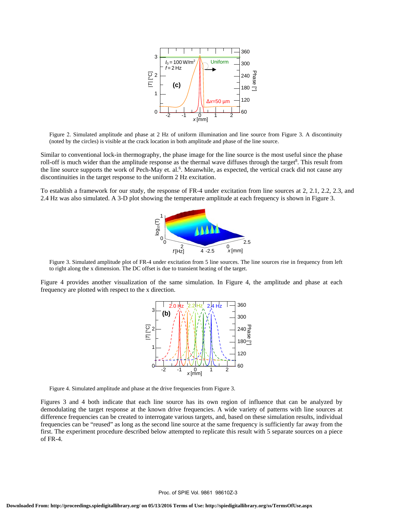

Figure 2. Simulated amplitude and phase at 2 Hz of uniform illumination and line source from Figure 3. A discontinuity (noted by the circles) is visible at the crack location in both amplitude and phase of the line source.

Similar to conventional lock-in thermography, the phase image for the line source is the most useful since the phase roll-off is much wider than the amplitude response as the thermal wave diffuses through the target<sup>8</sup>. This result from the line source supports the work of Pech-May et. al.<sup>6</sup>. Meanwhile, as expected, the vertical crack did not cause any discontinuities in the target response to the uniform 2 Hz excitation.

To establish a framework for our study, the response of FR-4 under excitation from line sources at 2, 2.1, 2.2, 2.3, and 2.4 Hz was also simulated. A 3-D plot showing the temperature amplitude at each frequency is shown in Figure 3.



Figure 3. Simulated amplitude plot of FR-4 under excitation from 5 line sources. The line sources rise in frequency from left to right along the x dimension. The DC offset is due to transient heating of the target.

Figure 4 provides another visualization of the same simulation. In Figure 4, the amplitude and phase at each frequency are plotted with respect to the x direction.



Figure 4. Simulated amplitude and phase at the drive frequencies from Figure 3.

Figures 3 and 4 both indicate that each line source has its own region of influence that can be analyzed by demodulating the target response at the known drive frequencies. A wide variety of patterns with line sources at difference frequencies can be created to interrogate various targets, and, based on these simulation results, individual frequencies can be "reused" as long as the second line source at the same frequency is sufficiently far away from the first. The experiment procedure described below attempted to replicate this result with 5 separate sources on a piece of FR-4.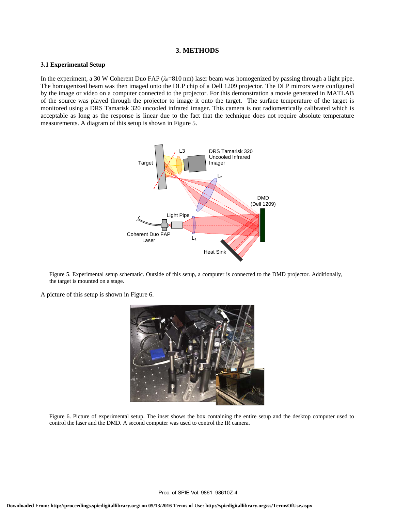#### **3. METHODS**

#### **3.1 Experimental Setup**

In the experiment, a 30 W Coherent Duo FAP ( $\lambda_0$ =810 nm) laser beam was homogenized by passing through a light pipe. The homogenized beam was then imaged onto the DLP chip of a Dell 1209 projector. The DLP mirrors were configured by the image or video on a computer connected to the projector. For this demonstration a movie generated in MATLAB of the source was played through the projector to image it onto the target. The surface temperature of the target is monitored using a DRS Tamarisk 320 uncooled infrared imager. This camera is not radiometrically calibrated which is acceptable as long as the response is linear due to the fact that the technique does not require absolute temperature measurements. A diagram of this setup is shown in Figure 5.



Figure 5. Experimental setup schematic. Outside of this setup, a computer is connected to the DMD projector. Additionally, the target is mounted on a stage.

A picture of this setup is shown in Figure 6.



Figure 6. Picture of experimental setup. The inset shows the box containing the entire setup and the desktop computer used to control the laser and the DMD. A second computer was used to control the IR camera.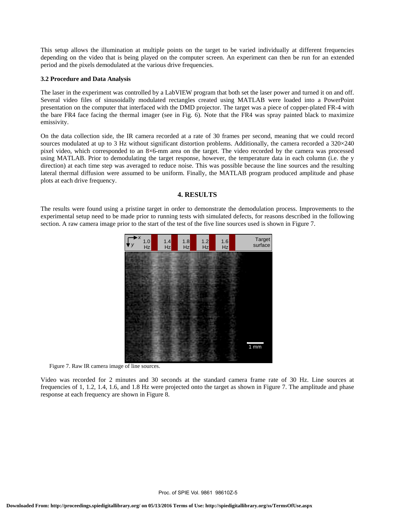This setup allows the illumination at multiple points on the target to be varied individually at different frequencies depending on the video that is being played on the computer screen. An experiment can then be run for an extended period and the pixels demodulated at the various drive frequencies.

#### **3.2 Procedure and Data Analysis**

The laser in the experiment was controlled by a LabVIEW program that both set the laser power and turned it on and off. Several video files of sinusoidally modulated rectangles created using MATLAB were loaded into a PowerPoint presentation on the computer that interfaced with the DMD projector. The target was a piece of copper-plated FR-4 with the bare FR4 face facing the thermal imager (see in Fig. 6). Note that the FR4 was spray painted black to maximize emissivity.

On the data collection side, the IR camera recorded at a rate of 30 frames per second, meaning that we could record sources modulated at up to 3 Hz without significant distortion problems. Additionally, the camera recorded a 320×240 pixel video, which corresponded to an 8×6-mm area on the target. The video recorded by the camera was processed using MATLAB. Prior to demodulating the target response, however, the temperature data in each column (i.e. the y direction) at each time step was averaged to reduce noise. This was possible because the line sources and the resulting lateral thermal diffusion were assumed to be uniform. Finally, the MATLAB program produced amplitude and phase plots at each drive frequency.

### **4. RESULTS**

The results were found using a pristine target in order to demonstrate the demodulation process. Improvements to the experimental setup need to be made prior to running tests with simulated defects, for reasons described in the following section. A raw camera image prior to the start of the test of the five line sources used is shown in Figure 7.



Figure 7. Raw IR camera image of line sources.

Video was recorded for 2 minutes and 30 seconds at the standard camera frame rate of 30 Hz. Line sources at frequencies of 1, 1.2, 1.4, 1.6, and 1.8 Hz were projected onto the target as shown in Figure 7. The amplitude and phase response at each frequency are shown in Figure 8.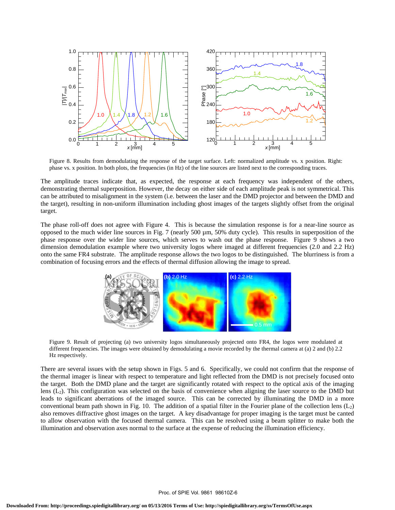

Figure 8. Results from demodulating the response of the target surface. Left: normalized amplitude vs. x position. Right: phase vs. x position. In both plots, the frequencies (in Hz) of the line sources are listed next to the corresponding traces.

The amplitude traces indicate that, as expected, the response at each frequency was independent of the others, demonstrating thermal superposition. However, the decay on either side of each amplitude peak is not symmetrical. This can be attributed to misalignment in the system (i.e. between the laser and the DMD projector and between the DMD and the target), resulting in non-uniform illumination including ghost images of the targets slightly offset from the original target.

The phase roll-off does not agree with Figure 4. This is because the simulation response is for a near-line source as opposed to the much wider line sources in Fig. 7 (nearly 500  $\mu$ m, 50% duty cycle). This results in superposition of the phase response over the wider line sources, which serves to wash out the phase response. Figure 9 shows a two dimension demodulation example where two university logos where imaged at different frequencies (2.0 and 2.2 Hz) onto the same FR4 substrate. The amplitude response allows the two logos to be distinguished. The blurriness is from a combination of focusing errors and the effects of thermal diffusion allowing the image to spread.



Figure 9. Result of projecting (a) two university logos simultaneously projected onto FR4, the logos were modulated at different frequencies. The images were obtained by demodulating a movie recorded by the thermal camera at (a) 2 and (b) 2.2 Hz respectively.

There are several issues with the setup shown in Figs. 5 and 6. Specifically, we could not confirm that the response of the thermal imager is linear with respect to temperature and light reflected from the DMD is not precisely focused onto the target. Both the DMD plane and the target are significantly rotated with respect to the optical axis of the imaging lens  $(L_2)$ . This configuration was selected on the basis of convenience when aligning the laser source to the DMD but leads to significant aberrations of the imaged source. This can be corrected by illuminating the DMD in a more conventional beam path shown in Fig. 10. The addition of a spatial filter in the Fourier plane of the collection lens  $(L<sub>2</sub>)$ also removes diffractive ghost images on the target. A key disadvantage for proper imaging is the target must be canted to allow observation with the focused thermal camera. This can be resolved using a beam splitter to make both the illumination and observation axes normal to the surface at the expense of reducing the illumination efficiency.